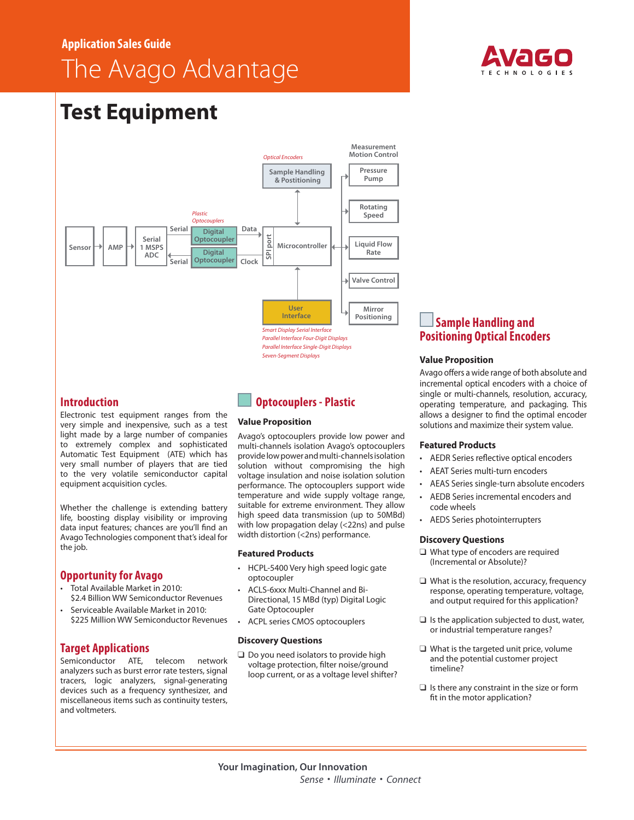# **Application Sales Guide**

# The Avago Advantage



# **Test Equipment**



## **Introduction**

Electronic test equipment ranges from the very simple and inexpensive, such as a test light made by a large number of companies to extremely complex and sophisticated Automatic Test Equipment (ATE) which has very small number of players that are tied to the very volatile semiconductor capital equipment acquisition cycles.

Whether the challenge is extending battery life, boosting display visibility or improving data input features; chances are you'll find an Avago Technologies component that's ideal for the job.

# **Opportunity for Avago**

- • Total Available Market in 2010: \$2.4 Billion WW Semiconductor Revenues
- Serviceable Available Market in 2010; \$225 Million WW Semiconductor Revenues

## **Target Applications**

Semiconductor ATE, telecom network analyzers such as burst error rate testers, signal tracers, logic analyzers, signal-generating devices such as a frequency synthesizer, and miscellaneous items such as continuity testers, and voltmeters.

# **Optocouplers - Plastic**

## **Value Proposition**

Avago's optocouplers provide low power and multi-channels isolation Avago's optocouplers provide low power and multi-channels isolation solution without compromising the high voltage insulation and noise isolation solution performance. The optocouplers support wide temperature and wide supply voltage range, suitable for extreme environment. They allow high speed data transmission (up to 50MBd) with low propagation delay (<22ns) and pulse width distortion (<2ns) performance.

## **Featured Products**

- HCPL-5400 Very high speed logic gate optocoupler
- ACLS-6xxx Multi-Channel and Bi-Directional, 15 MBd (typ) Digital Logic Gate Optocoupler
- ACPL series CMOS optocouplers

## **Discovery Questions**

 $\Box$  Do you need isolators to provide high voltage protection, filter noise/ground loop current, or as a voltage level shifter?

# **Sample Handling and Positioning Optical Encoders**

## **Value Proposition**

Avago offers a wide range of both absolute and incremental optical encoders with a choice of single or multi-channels, resolution, accuracy, operating temperature, and packaging. This allows a designer to find the optimal encoder solutions and maximize their system value.

## **Featured Products**

- AEDR Series reflective optical encoders
- AEAT Series multi-turn encoders
- AEAS Series single-turn absolute encoders
- AEDB Series incremental encoders and code wheels
- • AEDS Series photointerrupters

## **Discovery Questions**

- $\Box$  What type of encoders are required (Incremental or Absolute)?
- $\Box$  What is the resolution, accuracy, frequency response, operating temperature, voltage, and output required for this application?
- $\Box$  Is the application subjected to dust, water, or industrial temperature ranges?
- $\Box$  What is the targeted unit price, volume and the potential customer project timeline?
- $\Box$  Is there any constraint in the size or form fit in the motor application?